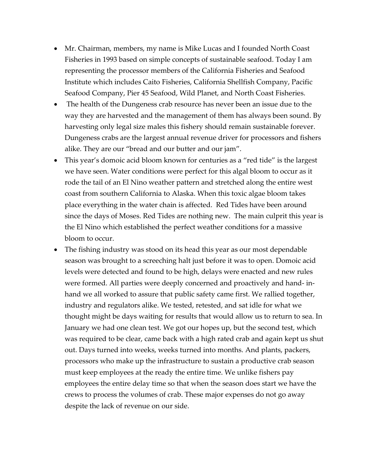- Mr. Chairman, members, my name is Mike Lucas and I founded North Coast Fisheries in 1993 based on simple concepts of sustainable seafood. Today I am representing the processor members of the California Fisheries and Seafood Institute which includes Caito Fisheries, California Shellfish Company, Pacific Seafood Company, Pier 45 Seafood, Wild Planet, and North Coast Fisheries.
- The health of the Dungeness crab resource has never been an issue due to the way they are harvested and the management of them has always been sound. By harvesting only legal size males this fishery should remain sustainable forever. Dungeness crabs are the largest annual revenue driver for processors and fishers alike. They are our "bread and our butter and our jam".
- This year's domoic acid bloom known for centuries as a "red tide" is the largest we have seen. Water conditions were perfect for this algal bloom to occur as it rode the tail of an El Nino weather pattern and stretched along the entire west coast from southern California to Alaska. When this toxic algae bloom takes place everything in the water chain is affected. Red Tides have been around since the days of Moses. Red Tides are nothing new. The main culprit this year is the El Nino which established the perfect weather conditions for a massive bloom to occur.
- The fishing industry was stood on its head this year as our most dependable season was brought to a screeching halt just before it was to open. Domoic acid levels were detected and found to be high, delays were enacted and new rules were formed. All parties were deeply concerned and proactively and hand- inhand we all worked to assure that public safety came first. We rallied together, industry and regulators alike. We tested, retested, and sat idle for what we thought might be days waiting for results that would allow us to return to sea. In January we had one clean test. We got our hopes up, but the second test, which was required to be clear, came back with a high rated crab and again kept us shut out. Days turned into weeks, weeks turned into months. And plants, packers, processors who make up the infrastructure to sustain a productive crab season must keep employees at the ready the entire time. We unlike fishers pay employees the entire delay time so that when the season does start we have the crews to process the volumes of crab. These major expenses do not go away despite the lack of revenue on our side.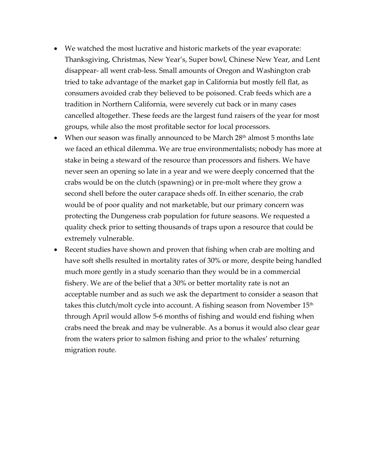- We watched the most lucrative and historic markets of the year evaporate: Thanksgiving, Christmas, New Year's, Super bowl, Chinese New Year, and Lent disappear- all went crab-less. Small amounts of Oregon and Washington crab tried to take advantage of the market gap in California but mostly fell flat, as consumers avoided crab they believed to be poisoned. Crab feeds which are a tradition in Northern California, were severely cut back or in many cases cancelled altogether. These feeds are the largest fund raisers of the year for most groups, while also the most profitable sector for local processors.
- When our season was finally announced to be March  $28<sup>th</sup>$  almost 5 months late we faced an ethical dilemma. We are true environmentalists; nobody has more at stake in being a steward of the resource than processors and fishers. We have never seen an opening so late in a year and we were deeply concerned that the crabs would be on the clutch (spawning) or in pre-molt where they grow a second shell before the outer carapace sheds off. In either scenario, the crab would be of poor quality and not marketable, but our primary concern was protecting the Dungeness crab population for future seasons. We requested a quality check prior to setting thousands of traps upon a resource that could be extremely vulnerable.
- Recent studies have shown and proven that fishing when crab are molting and have soft shells resulted in mortality rates of 30% or more, despite being handled much more gently in a study scenario than they would be in a commercial fishery. We are of the belief that a 30% or better mortality rate is not an acceptable number and as such we ask the department to consider a season that takes this clutch/molt cycle into account. A fishing season from November  $15<sup>th</sup>$ through April would allow 5-6 months of fishing and would end fishing when crabs need the break and may be vulnerable. As a bonus it would also clear gear from the waters prior to salmon fishing and prior to the whales' returning migration route.